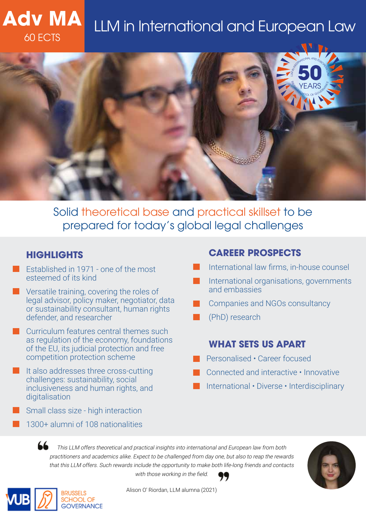# **TWIP LLM in International and European Law**



Solid theoretical base and practical skillset to be prepared for today's global legal challenges

# **HIGHLIGHTS**

**Adv MA**

- Established in 1971 one of the most esteemed of its kind
- Versatile training, covering the roles of legal advisor, policy maker, negotiator, data or sustainability consultant, human rights defender, and researcher
- Curriculum features central themes such as regulation of the economy, foundations of the EU, its judicial protection and free competition protection scheme
- It also addresses three cross-cutting challenges: sustainability, social inclusiveness and human rights, and digitalisation
- Small class size high interaction
- 1300+ alumni of 108 nationalities

# **CAREER PROSPECTS**

- International law firms, in-house counsel
- International organisations, governments and embassies
- Companies and NGOs consultancy
- (PhD) research

# **WHAT SETS US APART**

- Personalised Career focused
- Connected and interactive Innovative
- International Diverse Interdisciplinary

66 This LLM offers theoretical and practical insights into international and European law from both practitioners and academics alike. Expect to be challenged from day one, but also to reap the rewards that this LLM offers. Such rewards include the opportunity to make both life-long friends and contacts with those working in the field.





Alison O' Riordan, LLM alumna (2021)